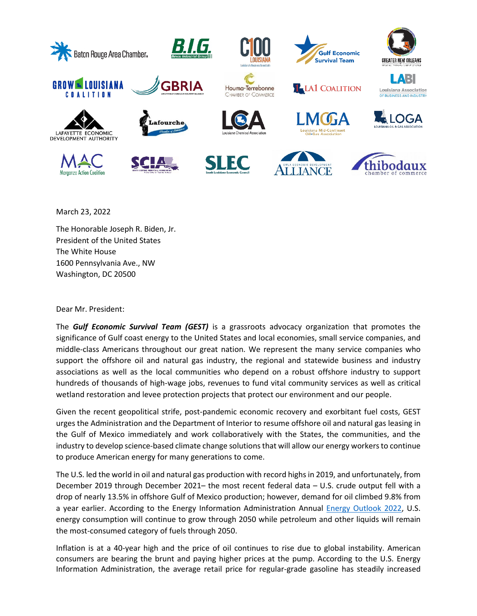

March 23, 2022

The Honorable Joseph R. Biden, Jr. President of the United States The White House 1600 Pennsylvania Ave., NW Washington, DC 20500

Dear Mr. President:

The *Gulf Economic Survival Team (GEST)* is a grassroots advocacy organization that promotes the significance of Gulf coast energy to the United States and local economies, small service companies, and middle-class Americans throughout our great nation. We represent the many service companies who support the offshore oil and natural gas industry, the regional and statewide business and industry associations as well as the local communities who depend on a robust offshore industry to support hundreds of thousands of high-wage jobs, revenues to fund vital community services as well as critical wetland restoration and levee protection projects that protect our environment and our people.

Given the recent geopolitical strife, post-pandemic economic recovery and exorbitant fuel costs, GEST urges the Administration and the Department of Interior to resume offshore oil and natural gas leasing in the Gulf of Mexico immediately and work collaboratively with the States, the communities, and the industry to develop science-based climate change solutions that will allow our energy workers to continue to produce American energy for many generations to come.

The U.S. led the world in oil and natural gas production with record highs in 2019, and unfortunately, from December 2019 through December 2021– the most recent federal data – U.S. crude output fell with a drop of nearly 13.5% in offshore Gulf of Mexico production; however, demand for oil climbed 9.8% from a year earlier. According to the Energy Information Administration Annual [Energy Outlook 2022,](https://www.eia.gov/outlooks/aeo/?src=email) U.S. energy consumption will continue to grow through 2050 while petroleum and other liquids will remain the most-consumed category of fuels through 2050.

Inflation is at a 40-year high and the price of oil continues to rise due to global instability. American consumers are bearing the brunt and paying higher prices at the pump. According to the U.S. Energy Information Administration, the average retail price for regular-grade gasoline has steadily increased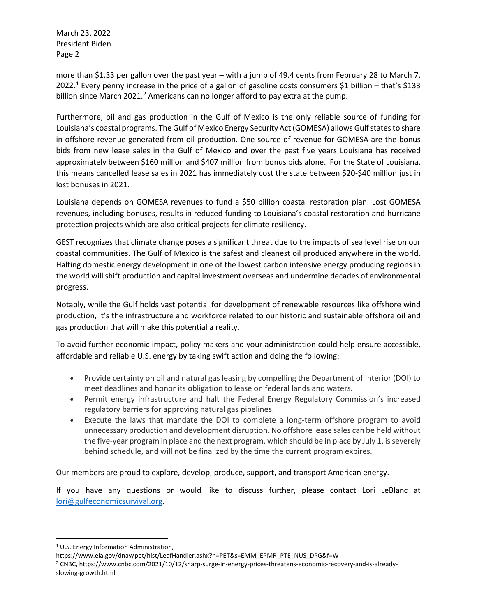March 23, 2022 President Biden Page 2

more than \$1.33 per gallon over the past year – with a jump of 49.4 cents from February 28 to March 7, 2022.[1](#page-1-0) Every penny increase in the price of a gallon of gasoline costs consumers \$1 billion – that's \$133 billion since March [2](#page-1-1)021.<sup>2</sup> Americans can no longer afford to pay extra at the pump.

Furthermore, oil and gas production in the Gulf of Mexico is the only reliable source of funding for Louisiana's coastal programs. The Gulf of Mexico Energy Security Act (GOMESA) allows Gulf states to share in offshore revenue generated from oil production. One source of revenue for GOMESA are the bonus bids from new lease sales in the Gulf of Mexico and over the past five years Louisiana has received approximately between \$160 million and \$407 million from bonus bids alone. For the State of Louisiana, this means cancelled lease sales in 2021 has immediately cost the state between \$20-\$40 million just in lost bonuses in 2021.

Louisiana depends on GOMESA revenues to fund a \$50 billion coastal restoration plan. Lost GOMESA revenues, including bonuses, results in reduced funding to Louisiana's coastal restoration and hurricane protection projects which are also critical projects for climate resiliency.

GEST recognizes that climate change poses a significant threat due to the impacts of sea level rise on our coastal communities. The Gulf of Mexico is the safest and cleanest oil produced anywhere in the world. Halting domestic energy development in one of the lowest carbon intensive energy producing regions in the world will shift production and capital investment overseas and undermine decades of environmental progress.

Notably, while the Gulf holds vast potential for development of renewable resources like offshore wind production, it's the infrastructure and workforce related to our historic and sustainable offshore oil and gas production that will make this potential a reality.

To avoid further economic impact, policy makers and your administration could help ensure accessible, affordable and reliable U.S. energy by taking swift action and doing the following:

- Provide certainty on oil and natural gas leasing by compelling the Department of Interior (DOI) to meet deadlines and honor its obligation to lease on federal lands and waters.
- Permit energy infrastructure and halt the Federal Energy Regulatory Commission's increased regulatory barriers for approving natural gas pipelines.
- Execute the laws that mandate the DOI to complete a long-term offshore program to avoid unnecessary production and development disruption. No offshore lease sales can be held without the five-year program in place and the next program, which should be in place by July 1, is severely behind schedule, and will not be finalized by the time the current program expires.

Our members are proud to explore, develop, produce, support, and transport American energy.

If you have any questions or would like to discuss further, please contact Lori LeBlanc at [lori@gulfeconomicsurvival.org.](mailto:lori@gulfeconomicsurvival.org)

<span id="page-1-0"></span><sup>1</sup> U.S. Energy Information Administration,

https://www.eia.gov/dnav/pet/hist/LeafHandler.ashx?n=PET&s=EMM\_EPMR\_PTE\_NUS\_DPG&f=W

<span id="page-1-1"></span><sup>2</sup> CNBC, https://www.cnbc.com/2021/10/12/sharp-surge-in-energy-prices-threatens-economic-recovery-and-is-alreadyslowing-growth.html